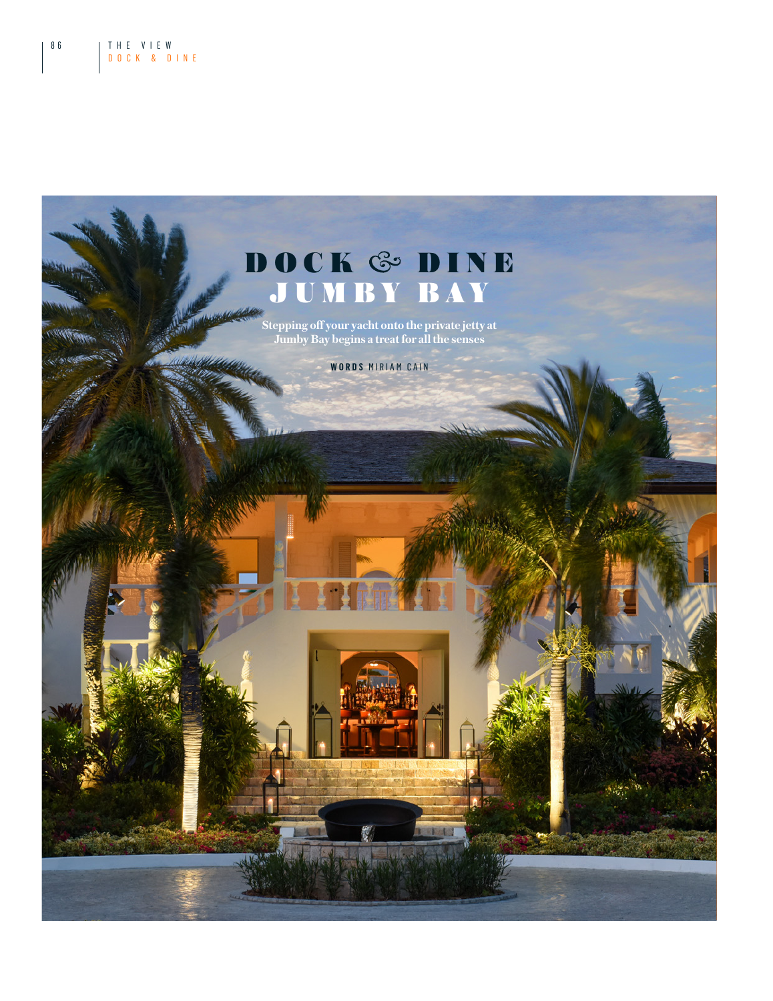